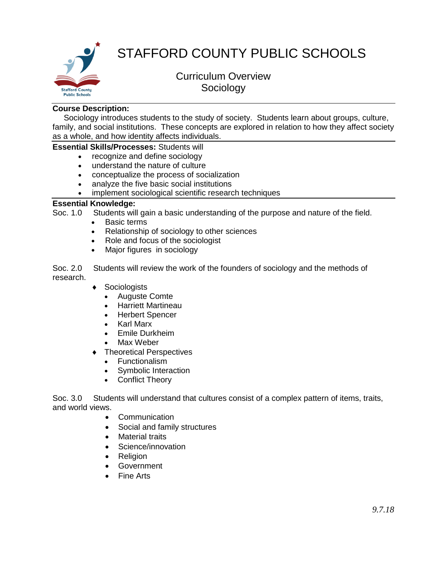

# STAFFORD COUNTY PUBLIC SCHOOLS

# Curriculum Overview Sociology

#### **Course Description:**

 Sociology introduces students to the study of society. Students learn about groups, culture, family, and social institutions. These concepts are explored in relation to how they affect society as a whole, and how identity affects individuals.

### **Essential Skills/Processes:** Students will

- recognize and define sociology
- understand the nature of culture
- conceptualize the process of socialization
- analyze the five basic social institutions
- implement sociological scientific research techniques

#### **Essential Knowledge:**

Soc. 1.0 Students will gain a basic understanding of the purpose and nature of the field.

- Basic terms
- Relationship of sociology to other sciences
- Role and focus of the sociologist
- Major figures in sociology

Soc. 2.0 Students will review the work of the founders of sociology and the methods of research.

- ◆ Sociologists
	- Auguste Comte
	- Harriett Martineau
	- Herbert Spencer
	- Karl Marx
	- Emile Durkheim
	- Max Weber
- ◆ Theoretical Perspectives
	- Functionalism
	- Symbolic Interaction
	- Conflict Theory

Soc. 3.0 Students will understand that cultures consist of a complex pattern of items, traits, and world views.

- Communication
- Social and family structures
- Material traits
- Science/innovation
- Religion
- Government
- Fine Arts